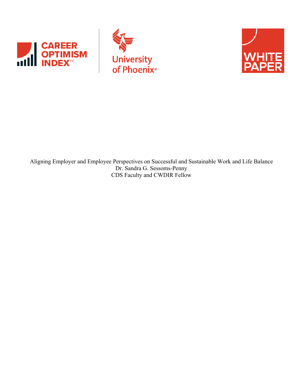





Aligning Employer and Employee Perspectives on Successful and Sustainable Work and Life Balance Dr. Sandra G. Sessoms-Penny CDS Faculty and CWDIR Fellow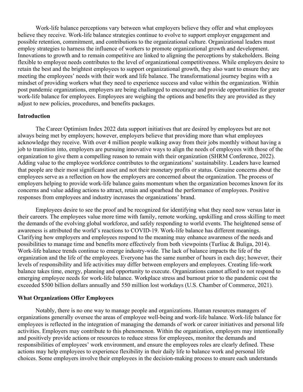Work-life balance perceptions vary between what employers believe they offer and what employees believe they receive. Work-life balance strategies continue to evolve to support employer engagement and possible retention, commitment, and contributions to the organizational culture. Organizational leaders must employ strategies to harness the influence of workers to promote organizational growth and development. Innovations to growth and to remain competitive are linked to aligning the perceptions by stakeholders. Being flexible to employee needs contributes to the level of organizational competitiveness. While employers desire to retain the best and the brightest employees to support organizational growth, they also want to ensure they are meeting the employees' needs with their work and life balance. The transformational journey begins with a mindset of providing workers what they need to experience success and value within the organization. Within post pandemic organizations, employers are being challenged to encourage and provide opportunities for greater work-life balance for employees. Employees are weighing the options and benefits they are provided as they adjust to new policies, procedures, and benefits packages.

#### **Introduction**

The Career Optimism Index 2022 data support initiatives that are desired by employees but are not always being met by employers; however, employers believe that providing more than what employees acknowledge they receive. With over 4 million people walking away from their jobs monthly without having a job to transition into, employers are pursuing innovative ways to align the needs of employees with those of the organization to give them a compelling reason to remain with their organization (SHRM Conference, 2022). Adding value to the employee workforce contributes to the organizations' sustainability. Leaders have learned that people are their most significant asset and not their monetary profits or status. Genuine concerns about the employees serve as a reflection on how the employers are concerned about the organization. The process of employers helping to provide work-life balance gains momentum when the organization becomes known for its concerns and value adding actions to attract, retain and spearhead the performance of employees. Positive responses from employees and industry increases the organizations' brand.

Employees desire to see the proof and be recognized for identifying what they need now versus later in their careers. The employees value more time with family, remote working, upskilling and cross skilling to meet the demands of the evolving global workforce, and safely responding to world events. The heightened sense of awareness is attributed the world's reactions to COVID-19. Work-life balance has different meanings. Clarifying how employers and employees respond to the meaning may enhance awareness of the needs and possibilities to manage time and benefits more effectively from both viewpoints (Turliuc & Buliga, 2014). Work-life balance trends continue to emerge industry-wide. The lack of balance impacts the life of the organization and the life of the employees. Everyone has the same number of hours in each day; however, their levels of responsibility and life activities may differ between employers and employees. Creating life-work balance takes time, energy, planning and opportunity to execute. Organizations cannot afford to not respond to emerging employee needs for work-life balance. Workplace stress and burnout prior to the pandemic cost the exceeded \$500 billion dollars annually and 550 million lost workdays (U.S. Chamber of Commerce, 2021).

#### **What Organizations Offer Employees**

Notably, there is no one way to manage people and organizations. Human resources managers of organizations generally oversee the areas of employee well-being and work-life balance. Work-life balance for employees is reflected in the integration of managing the demands of work or career initiatives and personal life activities. Employers may contribute to this phenomenon. Within the organization, employers may intentionally and positively provide actions or resources to reduce stress for employees, monitor the demands and responsibilities of employees' work environment, and ensure the employees roles are clearly defined. These actions may help employees to experience flexibility in their daily life to balance work and personal life choices. Some employers involve their employees in the decision-making process to ensure each understands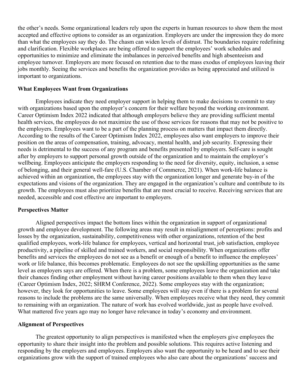the other's needs. Some organizational leaders rely upon the experts in human resources to show them the most accepted and effective options to consider as an organization. Employers are under the impression they do more than what the employees say they do. The chasm can widen levels of distrust. The boundaries require redefining and clarification. Flexible workplaces are being offered to support the employees' work schedules and opportunities to minimize and eliminate the imbalances in perceived benefits and high absenteeism and employee turnover. Employers are more focused on retention due to the mass exodus of employees leaving their jobs monthly. Seeing the services and benefits the organization provides as being appreciated and utilized is important to organizations.

### **What Employees Want from Organizations**

Employees indicate they need employer support in helping them to make decisions to commit to stay with organizations based upon the employer's concern for their welfare beyond the working environment. Career Optimism Index 2022 indicated that although employers believe they are providing sufficient mental health services, the employees do not maximize the use of those services for reasons that may not be positive to the employers. Employees want to be a part of the planning process on matters that impact them directly. According to the results of the Career Optimism Index 2022, employees also want employers to improve their position on the areas of compensation, training, advocacy, mental health, and job security. Expressing their needs is detrimental to the success of any program and benefits presented by employers. Self-care is sought after by employers to support personal growth outside of the organization and to maintain the employer's wellbeing. Employees anticipate the employers responding to the need for diversity, equity, inclusion, a sense of belonging, and their general well-fare (U.S. Chamber of Commerce, 2021). When work-life balance is achieved within an organization, the employees stay with the organization longer and generate buy-in of the expectations and visions of the organization. They are engaged in the organization's culture and contribute to its growth. The employees must also prioritize benefits that are most crucial to receive. Receiving services that are needed, accessible and cost effective are important to employers.

#### **Perspectives Matter**

Aligned perspectives impact the bottom lines within the organization in support of organizational growth and employee development. The following areas may result in misalignment of perceptions: profits and losses by the organization, sustainability, competitiveness with other organizations, retention of the best qualified employees, work-life balance for employees, vertical and horizontal trust, job satisfaction, employee productivity, a pipeline of skilled and trained workers, and social responsibility. When organizations offer benefits and services the employees do not see as a benefit or enough of a benefit to influence the employees' work or life balance, this becomes problematic. Employees do not see the upskilling opportunities as the same level as employers says are offered. When there is a problem, some employees leave the organization and take their chances finding other employment without having career positions available to them when they leave (Career Optimism Index, 2022; SHRM Conference, 2022). Some employees stay with the organization; however, they look for opportunities to leave. Some employees will stay even if there is a problem for several reasons to include the problems are the same universally. When employees receive what they need, they commit to remaining with an organization. The nature of work has evolved worldwide, just as people have evolved. What mattered five years ago may no longer have relevance in today's economy and environment.

### **Alignment of Perspectives**

The greatest opportunity to align perspectives is manifested when the employers give employees the opportunity to share their insight into the problem and possible solutions. This requires active listening and responding by the employers and employees. Employers also want the opportunity to be heard and to see their organizations grow with the support of trained employees who also care about the organizations' success and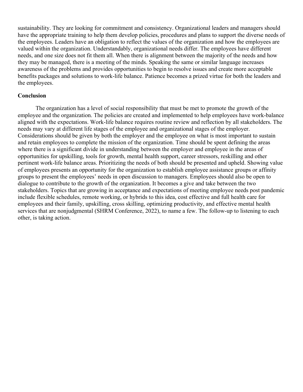sustainability. They are looking for commitment and consistency. Organizational leaders and managers should have the appropriate training to help them develop policies, procedures and plans to support the diverse needs of the employees. Leaders have an obligation to reflect the values of the organization and how the employees are valued within the organization. Understandably, organizational needs differ. The employees have different needs, and one size does not fit them all. When there is alignment between the majority of the needs and how they may be managed, there is a meeting of the minds. Speaking the same or similar language increases awareness of the problems and provides opportunities to begin to resolve issues and create more acceptable benefits packages and solutions to work-life balance. Patience becomes a prized virtue for both the leaders and the employees.

# **Conclusion**

The organization has a level of social responsibility that must be met to promote the growth of the employee and the organization. The policies are created and implemented to help employees have work-balance aligned with the expectations. Work-life balance requires routine review and reflection by all stakeholders. The needs may vary at different life stages of the employee and organizational stages of the employer. Considerations should be given by both the employer and the employee on what is most important to sustain and retain employees to complete the mission of the organization. Time should be spent defining the areas where there is a significant divide in understanding between the employer and employee in the areas of opportunities for upskilling, tools for growth, mental health support, career stressors, reskilling and other pertinent work-life balance areas. Prioritizing the needs of both should be presented and upheld. Showing value of employees presents an opportunity for the organization to establish employee assistance groups or affinity groups to present the employees' needs in open discussion to managers. Employees should also be open to dialogue to contribute to the growth of the organization. It becomes a give and take between the two stakeholders. Topics that are growing in acceptance and expectations of meeting employee needs post pandemic include flexible schedules, remote working, or hybrids to this idea, cost effective and full health care for employees and their family, upskilling, cross skilling, optimizing productivity, and effective mental health services that are nonjudgmental (SHRM Conference, 2022), to name a few. The follow-up to listening to each other, is taking action.